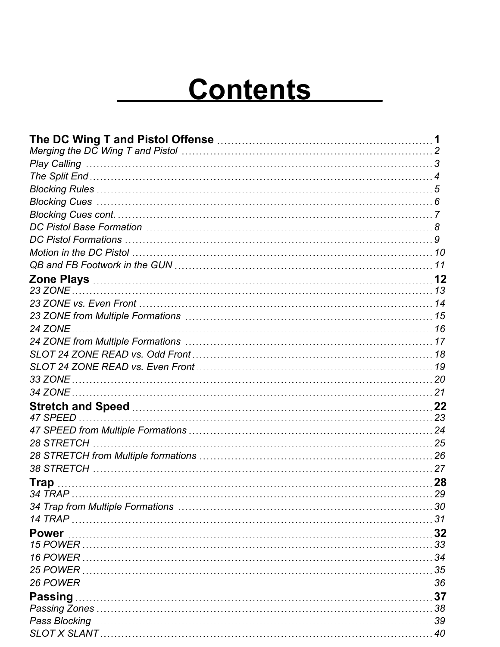# **Contents**

|                | 12 |
|----------------|----|
|                |    |
|                |    |
|                |    |
| 24 ZONE        |    |
|                |    |
|                |    |
|                |    |
| 33 ZONE        |    |
| 34 ZONE        |    |
|                |    |
|                |    |
|                |    |
|                |    |
|                |    |
|                |    |
| <b>Trap</b>    | 28 |
|                | 29 |
|                |    |
|                |    |
| <b>Power</b>   |    |
|                |    |
|                |    |
|                |    |
|                |    |
| <b>Passing</b> |    |
|                |    |
|                |    |
|                |    |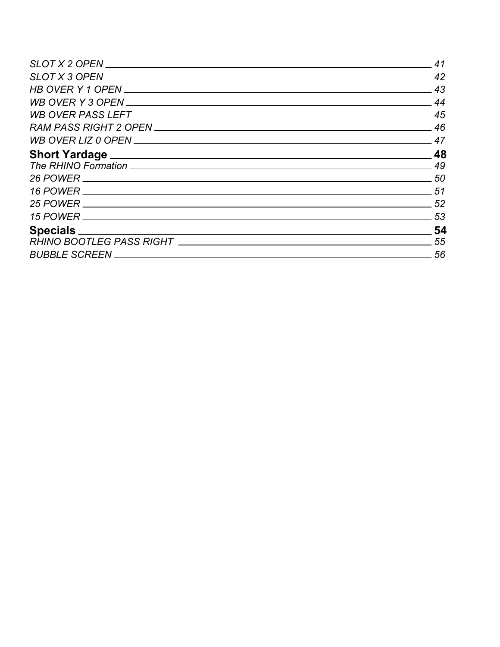|                                          | 41 |
|------------------------------------------|----|
|                                          | 42 |
|                                          | 43 |
|                                          | 44 |
|                                          | 45 |
|                                          | 46 |
|                                          | 47 |
|                                          | 48 |
|                                          | 49 |
|                                          | 50 |
|                                          | 51 |
|                                          | 52 |
|                                          | 53 |
|                                          | 54 |
| RHINO BOOTLEG PASS RIGHT _______________ | 55 |
| <b>BUBBLE SCREEN</b>                     | 56 |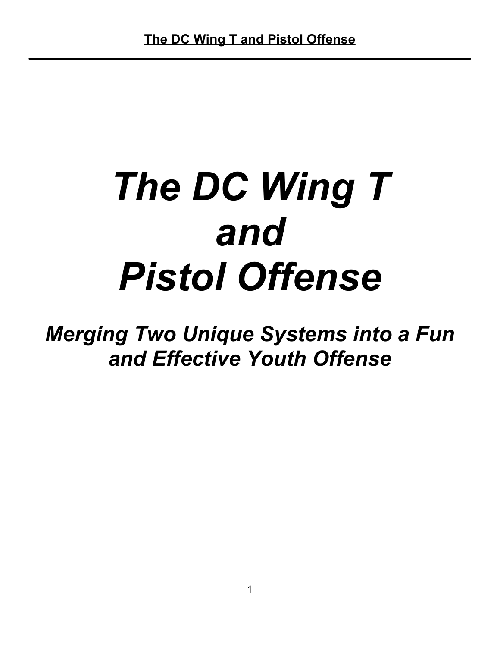# *The DC Wing T and Pistol Offense*

*Merging Two Unique Systems into a Fun and Effective Youth Offense*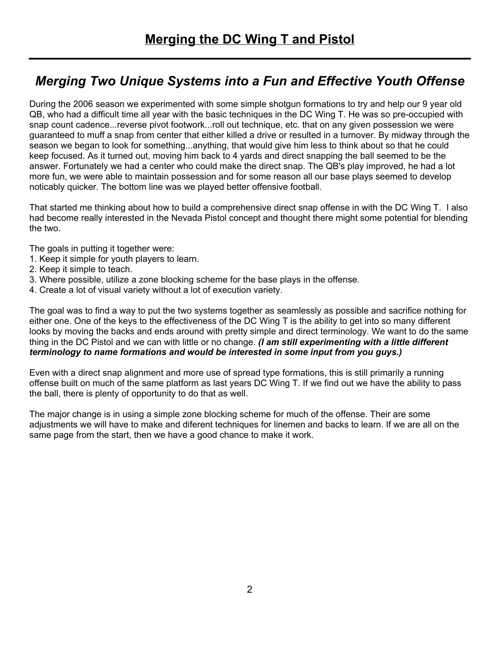#### *Merging Two Unique Systems into a Fun and Effective Youth Offense*

During the 2006 season we experimented with some simple shotgun formations to try and help our 9 year old QB, who had a difficult time all year with the basic techniques in the DC Wing T. He was so pre-occupied with snap count cadence...reverse pivot footwork...roll out technique, etc. that on any given possession we were guaranteed to muff a snap from center that either killed a drive or resulted in a turnover. By midway through the season we began to look for something...anything, that would give him less to think about so that he could keep focused. As it turned out, moving him back to 4 yards and direct snapping the ball seemed to be the answer. Fortunately we had a center who could make the direct snap. The QB's play improved, he had a lot more fun, we were able to maintain possession and for some reason all our base plays seemed to develop noticably quicker. The bottom line was we played better offensive football.

That started me thinking about how to build a comprehensive direct snap offense in with the DC Wing T. I also had become really interested in the Nevada Pistol concept and thought there might some potential for blending the two.

The goals in putting it together were:

- 1. Keep it simple for youth players to learn.
- 2. Keep it simple to teach.
- 3. Where possible, utilize a zone blocking scheme for the base plays in the offense.
- 4. Create a lot of visual variety without a lot of execution variety.

The goal was to find a way to put the two systems together as seamlessly as possible and sacrifice nothing for either one. One of the keys to the effectiveness of the DC Wing T is the ability to get into so many different looks by moving the backs and ends around with pretty simple and direct terminology. We want to do the same thing in the DC Pistol and we can with little or no change. *(I am still experimenting with a little different terminology to name formations and would be interested in some input from you guys.)*

Even with a direct snap alignment and more use of spread type formations, this is still primarily a running offense built on much of the same platform as last years DC Wing T. If we find out we have the ability to pass the ball, there is plenty of opportunity to do that as well.

The major change is in using a simple zone blocking scheme for much of the offense. Their are some adjustments we will have to make and diferent techniques for linemen and backs to learn. If we are all on the same page from the start, then we have a good chance to make it work.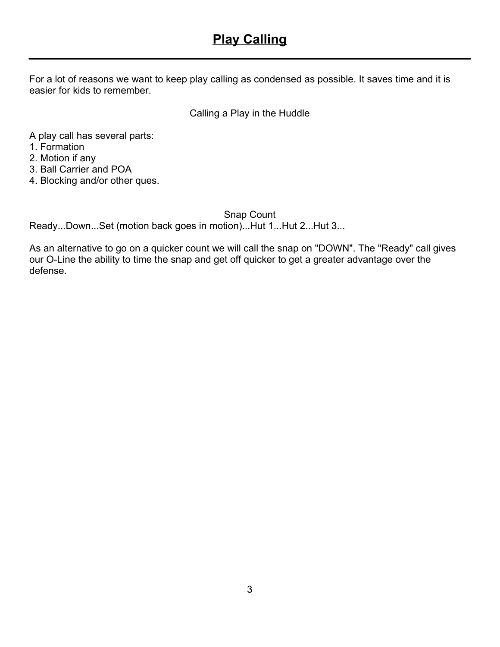#### **Play Calling**

For a lot of reasons we want to keep play calling as condensed as possible. It saves time and it is easier for kids to remember.

Calling a Play in the Huddle

A play call has several parts:

1. Formation

2. Motion if any

3. Ball Carrier and POA

4. Blocking and/or other ques.

Snap Count

Ready...Down...Set (motion back goes in motion)...Hut 1...Hut 2...Hut 3...

As an alternative to go on a quicker count we will call the snap on "DOWN". The "Ready" call gives our O-Line the ability to time the snap and get off quicker to get a greater advantage over the defense.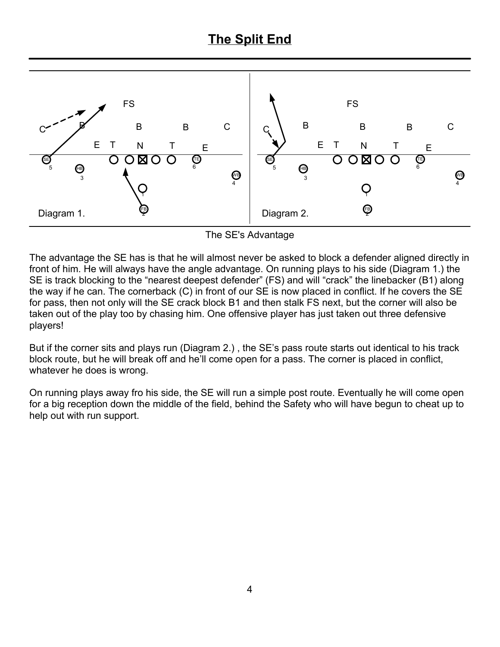#### **The Split End**



The SE's Advantage

The advantage the SE has is that he will almost never be asked to block a defender aligned directly in front of him. He will always have the angle advantage. On running plays to his side (Diagram 1.) the SE is track blocking to the "nearest deepest defender" (FS) and will "crack" the linebacker (B1) along the way if he can. The cornerback (C) in front of our SE is now placed in conflict. If he covers the SE for pass, then not only will the SE crack block B1 and then stalk FS next, but the corner will also be taken out of the play too by chasing him. One offensive player has just taken out three defensive players!

But if the corner sits and plays run (Diagram 2.) , the SE's pass route starts out identical to his track block route, but he will break off and he'll come open for a pass. The corner is placed in conflict, whatever he does is wrong.

On running plays away fro his side, the SE will run a simple post route. Eventually he will come open for a big reception down the middle of the field, behind the Safety who will have begun to cheat up to help out with run support.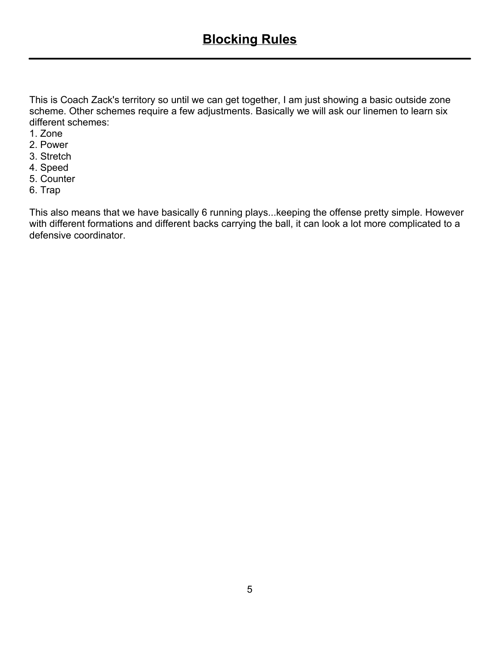This is Coach Zack's territory so until we can get together, I am just showing a basic outside zone scheme. Other schemes require a few adjustments. Basically we will ask our linemen to learn six different schemes:

- 1. Zone
- 2. Power
- 3. Stretch
- 4. Speed
- 5. Counter
- 6. Trap

This also means that we have basically 6 running plays...keeping the offense pretty simple. However with different formations and different backs carrying the ball, it can look a lot more complicated to a defensive coordinator.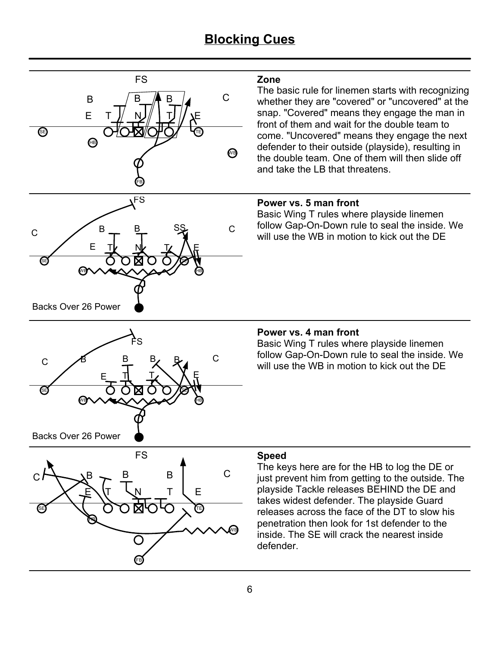#### **Blocking Cues**



#### **Zone**

The basic rule for linemen starts with recognizing whether they are "covered" or "uncovered" at the snap. "Covered" means they engage the man in front of them and wait for the double team to come. "Uncovered" means they engage the next defender to their outside (playside), resulting in the double team. One of them will then slide off and take the LB that threatens.

#### **Power vs. 5 man front**

Basic Wing T rules where playside linemen follow Gap-On-Down rule to seal the inside. We will use the WB in motion to kick out the DE

#### **Power vs. 4 man front**

Basic Wing T rules where playside linemen follow Gap-On-Down rule to seal the inside. We will use the WB in motion to kick out the DE



WB HB

E

SE)  $( ) ( ) [ X ( ) ( ) ( ) / \mathbb{Z}$ 

B

B B B

FS

 $\mathsf{E} \hspace{1mm} \bot \hspace{1mm} \bot$  $C$   $A$   $B$   $B$   $B$   $C$ 

#### **Speed**

The keys here are for the HB to log the DE or just prevent him from getting to the outside. The playside Tackle releases BEHIND the DE and takes widest defender. The playside Guard releases across the face of the DT to slow his penetration then look for 1st defender to the inside. The SE will crack the nearest inside defender.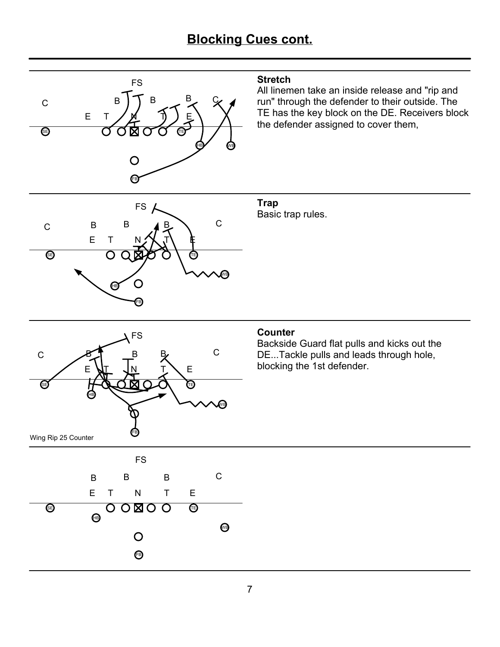#### **Blocking Cues cont.**

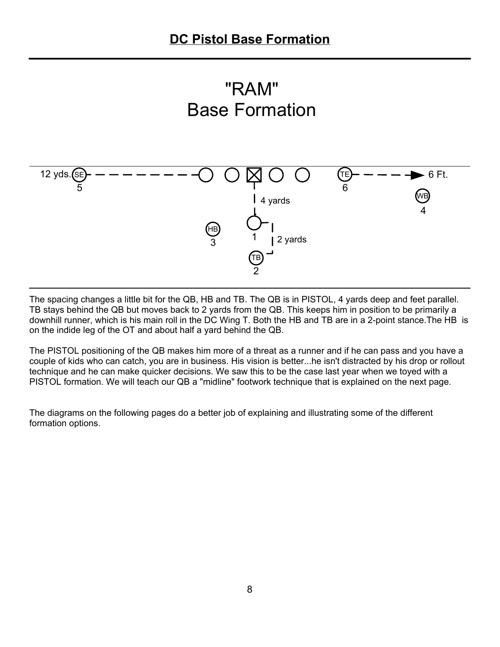



The spacing changes a little bit for the QB, HB and TB. The QB is in PISTOL, 4 yards deep and feet parallel. TB stays behind the QB but moves back to 2 yards from the QB. This keeps him in position to be primarily a downhill runner, which is his main roll in the DC Wing T. Both the HB and TB are in a 2-point stance.The HB is on the indide leg of the OT and about half a yard behind the QB.

The PISTOL positioning of the QB makes him more of a threat as a runner and if he can pass and you have a couple of kids who can catch, you are in business. His vision is better...he isn't distracted by his drop or rollout technique and he can make quicker decisions. We saw this to be the case last year when we toyed with a PISTOL formation. We will teach our QB a "midline" footwork technique that is explained on the next page.

The diagrams on the following pages do a better job of explaining and illustrating some of the different formation options.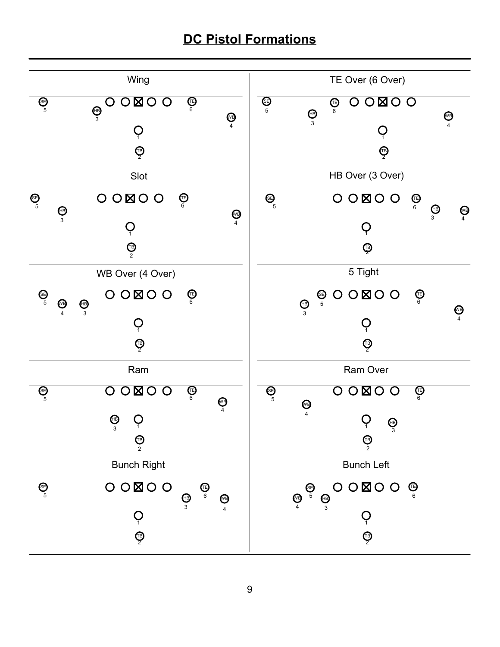#### **DC Pistol Formations**

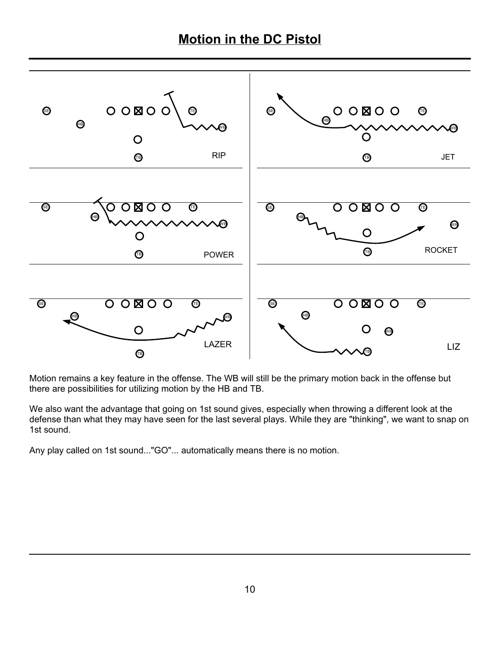#### **Motion in the DC Pistol**



Motion remains a key feature in the offense. The WB will still be the primary motion back in the offense but there are possibilities for utilizing motion by the HB and TB.

We also want the advantage that going on 1st sound gives, especially when throwing a different look at the defense than what they may have seen for the last several plays. While they are "thinking", we want to snap on 1st sound.

Any play called on 1st sound..."GO"... automatically means there is no motion.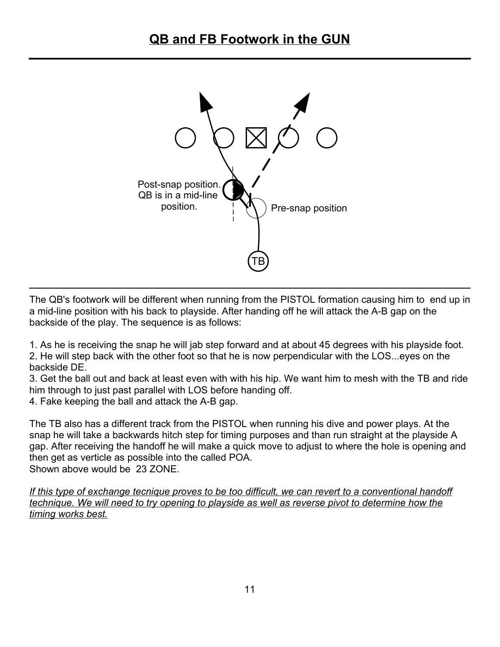

The QB's footwork will be different when running from the PISTOL formation causing him to end up in a mid-line position with his back to playside. After handing off he will attack the A-B gap on the backside of the play. The sequence is as follows:

1. As he is receiving the snap he will jab step forward and at about 45 degrees with his playside foot. 2. He will step back with the other foot so that he is now perpendicular with the LOS...eyes on the backside DE.

3. Get the ball out and back at least even with with his hip. We want him to mesh with the TB and ride him through to just past parallel with LOS before handing off.

4. Fake keeping the ball and attack the A-B gap.

The TB also has a different track from the PISTOL when running his dive and power plays. At the snap he will take a backwards hitch step for timing purposes and than run straight at the playside A gap. After receiving the handoff he will make a quick move to adjust to where the hole is opening and then get as verticle as possible into the called POA. Shown above would be 23 ZONE.

*If this type of exchange tecnique proves to be too difficult, we can revert to a conventional handoff technique. We will need to try opening to playside as well as reverse pivot to determine how the timing works best.*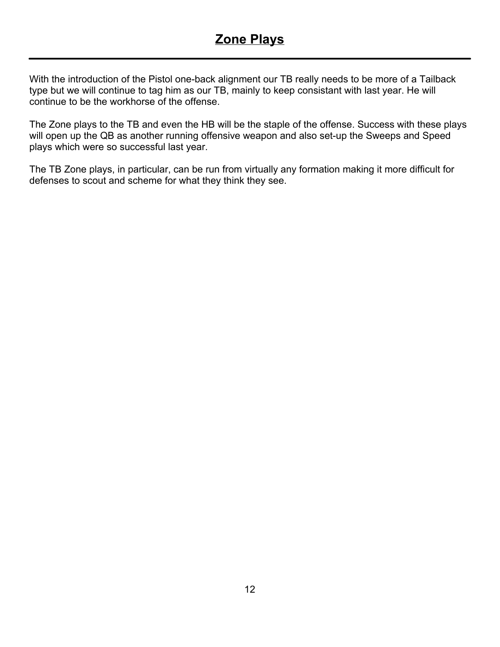With the introduction of the Pistol one-back alignment our TB really needs to be more of a Tailback type but we will continue to tag him as our TB, mainly to keep consistant with last year. He will continue to be the workhorse of the offense.

The Zone plays to the TB and even the HB will be the staple of the offense. Success with these plays will open up the QB as another running offensive weapon and also set-up the Sweeps and Speed plays which were so successful last year.

The TB Zone plays, in particular, can be run from virtually any formation making it more difficult for defenses to scout and scheme for what they think they see.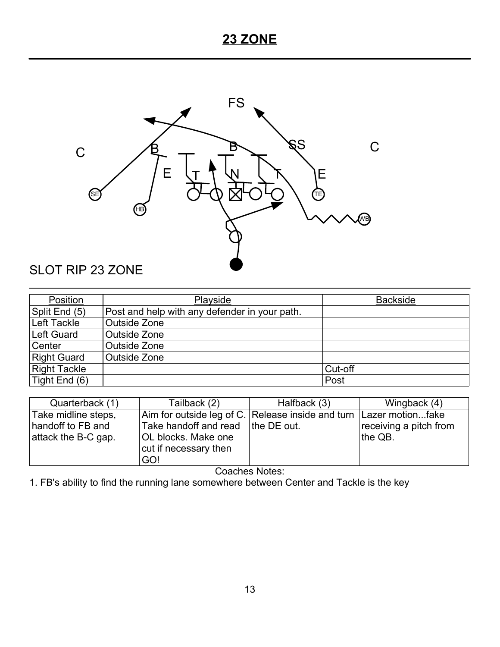### **23 ZONE**



| Position            | Playside                                      | <b>Backside</b> |
|---------------------|-----------------------------------------------|-----------------|
| Split End (5)       | Post and help with any defender in your path. |                 |
| Left Tackle         | <b>Outside Zone</b>                           |                 |
| Left Guard          | Outside Zone                                  |                 |
| Center              | Outside Zone                                  |                 |
| <b>Right Guard</b>  | Outside Zone                                  |                 |
| <b>Right Tackle</b> |                                               | Cut-off         |
| Tight End (6)       |                                               | Post            |

| Quarterback (1)     | Tailback (2)                                                       | Halfback (3) | Wingback (4)           |
|---------------------|--------------------------------------------------------------------|--------------|------------------------|
| Take midline steps, | Aim for outside leg of C. Release inside and turn Lazer motionfake |              |                        |
| handoff to FB and   | Take handoff and read   the DE out.                                |              | receiving a pitch from |
| attack the B-C gap. | <b>OL blocks. Make one</b>                                         |              | the QB.                |
|                     | cut if necessary then                                              |              |                        |
|                     | GO!                                                                |              |                        |

Coaches Notes:

1. FB's ability to find the running lane somewhere between Center and Tackle is the key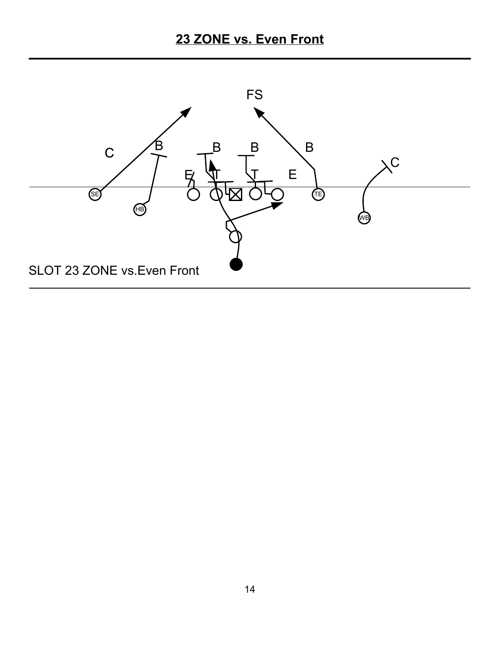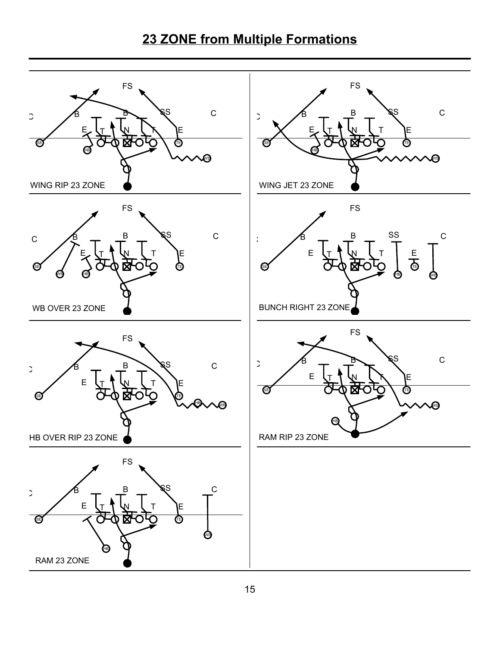# **23 ZONE from Multiple Formations**

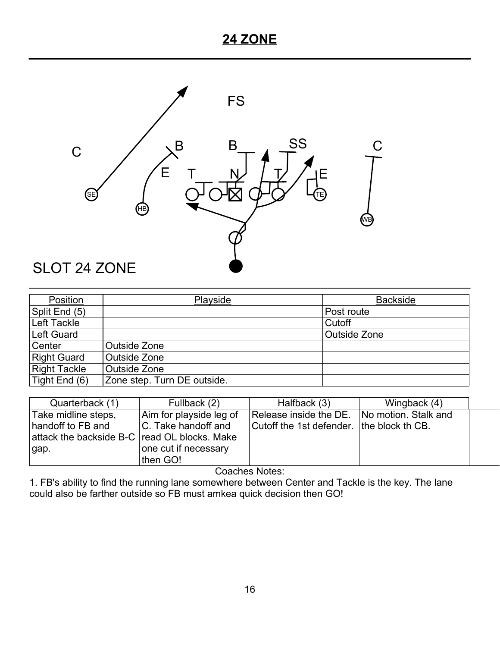#### **24 ZONE**



| Position            | Playside                    | <b>Backside</b> |
|---------------------|-----------------------------|-----------------|
| Split End (5)       |                             | Post route      |
| Left Tackle         |                             | Cutoff          |
| Left Guard          |                             | Outside Zone    |
| Center              | Outside Zone                |                 |
| <b>Right Guard</b>  | Outside Zone                |                 |
| <b>Right Tackle</b> | Outside Zone                |                 |
| Tight End (6)       | Zone step. Turn DE outside. |                 |

| Quarterback (1)                              | Fullback (2)            | Halfback (3)                                | Wingback (4) |  |
|----------------------------------------------|-------------------------|---------------------------------------------|--------------|--|
| Take midline steps,                          | Aim for playside leg of | Release inside the DE. No motion. Stalk and |              |  |
| handoff to FB and                            | C. Take handoff and     | Cutoff the 1st defender. Ithe block th CB.  |              |  |
| attack the backside B-C read OL blocks. Make |                         |                                             |              |  |
| gap.                                         | one cut if necessary    |                                             |              |  |
|                                              | then GO!                |                                             |              |  |

Coaches Notes:

1. FB's ability to find the running lane somewhere between Center and Tackle is the key. The lane could also be farther outside so FB must amkea quick decision then GO!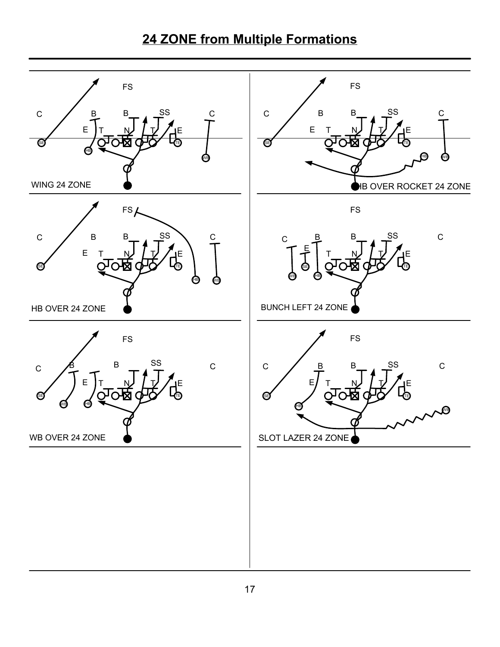# **24 ZONE from Multiple Formations**

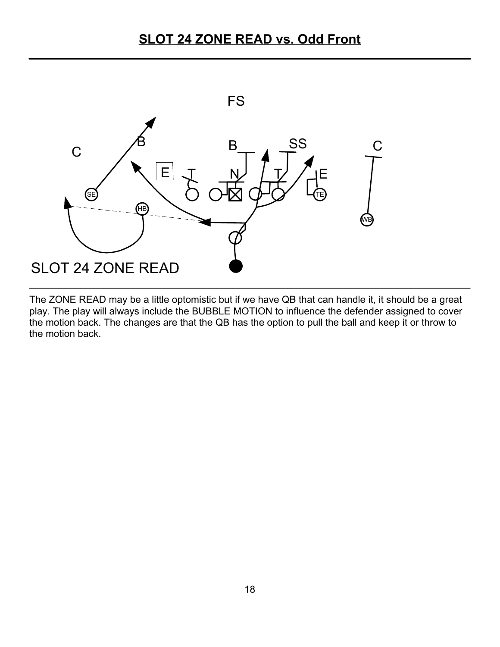

The ZONE READ may be a little optomistic but if we have QB that can handle it, it should be a great play. The play will always include the BUBBLE MOTION to influence the defender assigned to cover the motion back. The changes are that the QB has the option to pull the ball and keep it or throw to the motion back.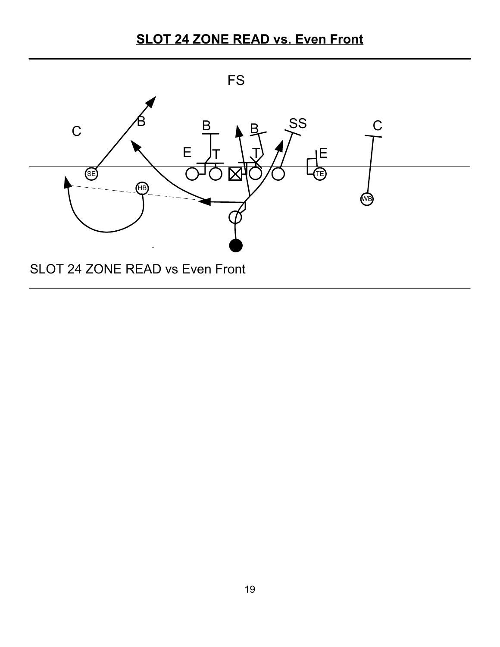## **SLOT 24 ZONE READ vs. Even Front**

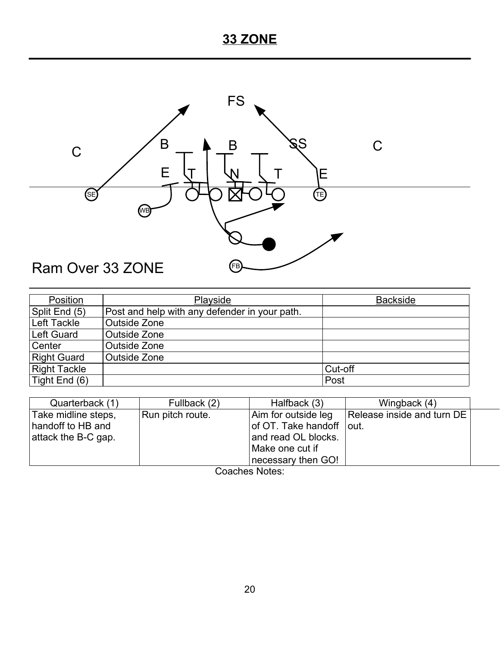# **33 ZONE**



| Position            | Playside                                      | <b>Backside</b> |
|---------------------|-----------------------------------------------|-----------------|
| Split End (5)       | Post and help with any defender in your path. |                 |
| Left Tackle         | Outside Zone                                  |                 |
| Left Guard          | Outside Zone                                  |                 |
| Center              | Outside Zone                                  |                 |
| <b>Right Guard</b>  | Outside Zone                                  |                 |
| <b>Right Tackle</b> |                                               | Cut-off         |
| Tight End $(6)$     |                                               | Post            |

| Quarterback (1)     | Fullback (2)     | Halfback (3)             | Wingback (4)               |  |
|---------------------|------------------|--------------------------|----------------------------|--|
| Take midline steps, | Run pitch route. | Aim for outside leg      | Release inside and turn DE |  |
| handoff to HB and   |                  | of OT. Take handoff out. |                            |  |
| attack the B-C gap. |                  | and read OL blocks.      |                            |  |
|                     |                  | Make one cut if          |                            |  |
|                     |                  | necessary then GO!       |                            |  |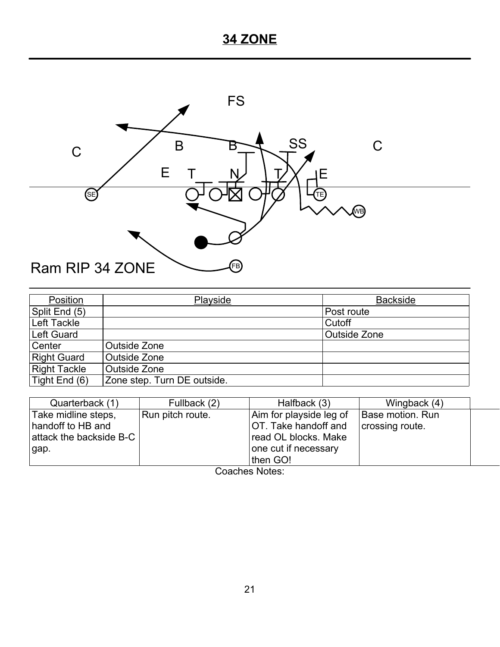# **34 ZONE**



| Position            | Playside                    | <b>Backside</b> |
|---------------------|-----------------------------|-----------------|
| Split End (5)       |                             | Post route      |
| Left Tackle         |                             | Cutoff          |
| Left Guard          |                             | Outside Zone    |
| Center              | Outside Zone                |                 |
| Right Guard         | Outside Zone                |                 |
| <b>Right Tackle</b> | Outside Zone                |                 |
| Tight End (6)       | Zone step. Turn DE outside. |                 |

| Quarterback (1)         | Fullback (2)     | Halfback (3)            | Wingback (4)     |  |
|-------------------------|------------------|-------------------------|------------------|--|
| Take midline steps,     | Run pitch route. | Aim for playside leg of | Base motion. Run |  |
| handoff to HB and       |                  | OT. Take handoff and    | crossing route.  |  |
| attack the backside B-C |                  | read OL blocks. Make    |                  |  |
| gap.                    |                  | one cut if necessary    |                  |  |
|                         |                  | then GO!                |                  |  |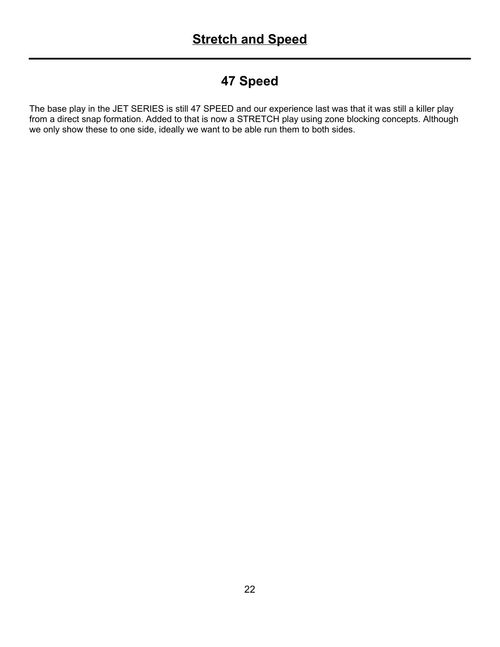#### **47 Speed**

The base play in the JET SERIES is still 47 SPEED and our experience last was that it was still a killer play from a direct snap formation. Added to that is now a STRETCH play using zone blocking concepts. Although we only show these to one side, ideally we want to be able run them to both sides.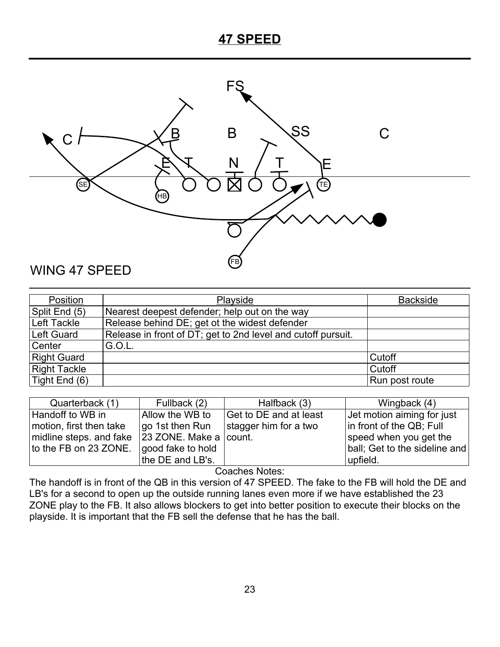#### **47 SPEED**



| Position            | Playside                                                     | <b>Backside</b> |
|---------------------|--------------------------------------------------------------|-----------------|
| Split End (5)       | Nearest deepest defender; help out on the way                |                 |
| Left Tackle         | Release behind DE; get ot the widest defender                |                 |
| Left Guard          | Release in front of DT; get to 2nd level and cutoff pursuit. |                 |
| Center              | G.O.L.                                                       |                 |
| <b>Right Guard</b>  |                                                              | Cutoff          |
| <b>Right Tackle</b> |                                                              | Cutoff          |
| Tight End (6)       |                                                              | Run post route  |

| Quarterback (1)         | Fullback (2)           | Halfback (3)           | Wingback (4)                  |
|-------------------------|------------------------|------------------------|-------------------------------|
| Handoff to WB in        | Allow the WB to        | Get to DE and at least | Jet motion aiming for just    |
| motion, first then take | go 1st then Run        | stagger him for a two  | in front of the QB; Full      |
| midline steps. and fake | 23 ZONE. Make a count. |                        | speed when you get the        |
| to the FB on 23 ZONE.   | good fake to hold      |                        | ball; Get to the sideline and |
|                         | the DE and LB's.       |                        | upfield.                      |

Coaches Notes:

The handoff is in front of the QB in this version of 47 SPEED. The fake to the FB will hold the DE and LB's for a second to open up the outside running lanes even more if we have established the 23 ZONE play to the FB. It also allows blockers to get into better position to execute their blocks on the playside. It is important that the FB sell the defense that he has the ball.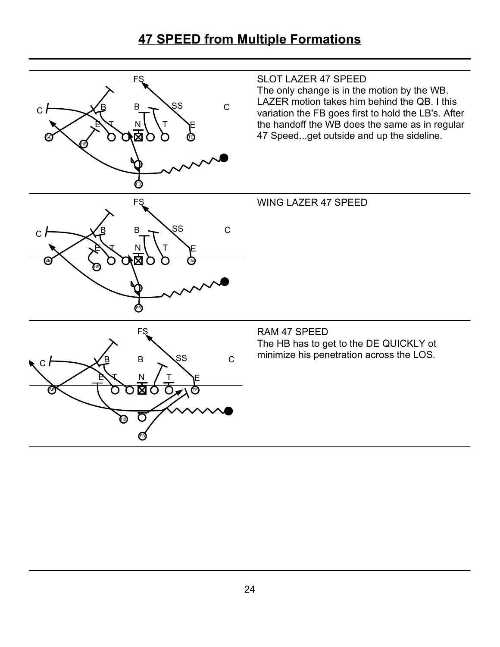#### **47 SPEED from Multiple Formations**

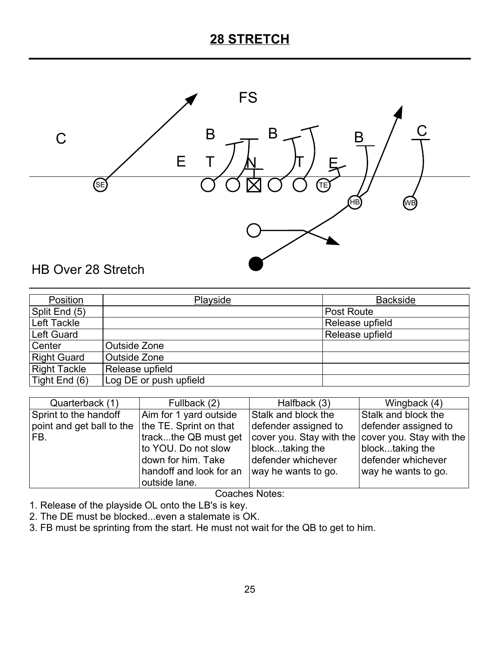### **28 STRETCH**



| Position            | <b>Playside</b>        | <b>Backside</b> |
|---------------------|------------------------|-----------------|
| Split End (5)       |                        | Post Route      |
| Left Tackle         |                        | Release upfield |
| Left Guard          |                        | Release upfield |
| Center              | Outside Zone           |                 |
| <b>Right Guard</b>  | Outside Zone           |                 |
| <b>Right Tackle</b> | Release upfield        |                 |
| Tight End (6)       | Log DE or push upfield |                 |

| Quarterback (1)           | Fullback (2)            | Halfback (3)                                                              | Wingback (4)         |
|---------------------------|-------------------------|---------------------------------------------------------------------------|----------------------|
| Sprint to the handoff     | Aim for 1 yard outside  | Stalk and block the                                                       | Stalk and block the  |
| point and get ball to the | the TE. Sprint on that  | defender assigned to                                                      | defender assigned to |
| FB.                       | trackthe QB must get    | $\vert$ cover you. Stay with the $\vert$ cover you. Stay with the $\vert$ |                      |
|                           | to YOU. Do not slow     | blocktaking the                                                           | blocktaking the      |
|                           | down for him. Take      | defender whichever                                                        | defender whichever   |
|                           | handoff and look for an | way he wants to go.                                                       | way he wants to go.  |
|                           | outside lane.           |                                                                           |                      |

- 1. Release of the playside OL onto the LB's is key.
- 2. The DE must be blocked...even a stalemate is OK.
- 3. FB must be sprinting from the start. He must not wait for the QB to get to him.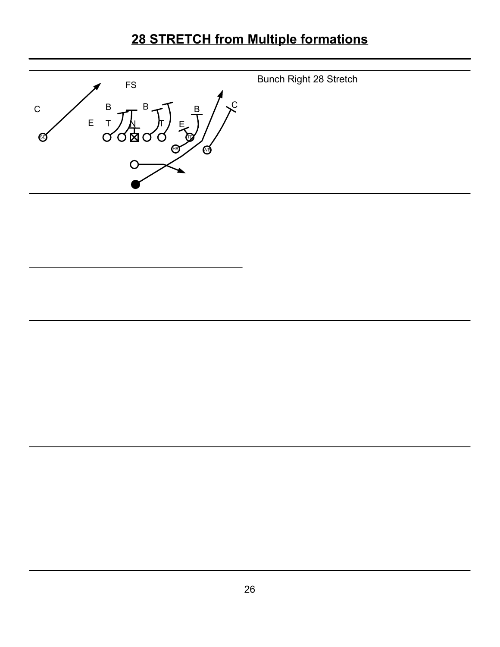# **28 STRETCH from Multiple formations**

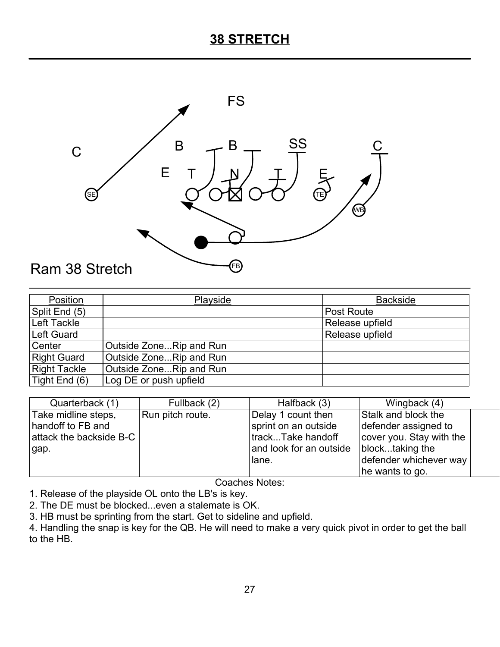#### **38 STRETCH**



| Position            | Playside                | <b>Backside</b>   |
|---------------------|-------------------------|-------------------|
| Split End (5)       |                         | <b>Post Route</b> |
| Left Tackle         |                         | Release upfield   |
| Left Guard          |                         | Release upfield   |
| Center              | Outside ZoneRip and Run |                   |
| <b>Right Guard</b>  | Outside ZoneRip and Run |                   |
| <b>Right Tackle</b> | Outside ZoneRip and Run |                   |
| Tight End (6)       | Log DE or push upfield  |                   |

| Quarterback (1)         | Fullback (2)     | Halfback (3)                                | Wingback (4)             |  |
|-------------------------|------------------|---------------------------------------------|--------------------------|--|
| Take midline steps,     | Run pitch route. | Delay 1 count then                          | Stalk and block the      |  |
| handoff to FB and       |                  | sprint on an outside                        | defender assigned to     |  |
| attack the backside B-C |                  | trackTake handoff                           | cover you. Stay with the |  |
| gap.                    |                  | and look for an outside $ $ blocktaking the |                          |  |
|                         |                  | lane.                                       | defender whichever way   |  |
|                         |                  |                                             | he wants to go.          |  |

Coaches Notes:

1. Release of the playside OL onto the LB's is key.

2. The DE must be blocked...even a stalemate is OK.

3. HB must be sprinting from the start. Get to sideline and upfield.

4. Handling the snap is key for the QB. He will need to make a very quick pivot in order to get the ball to the HB.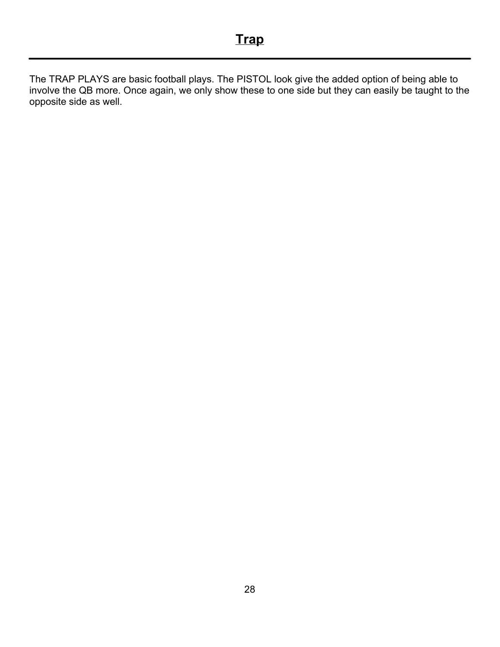The TRAP PLAYS are basic football plays. The PISTOL look give the added option of being able to involve the QB more. Once again, we only show these to one side but they can easily be taught to the opposite side as well.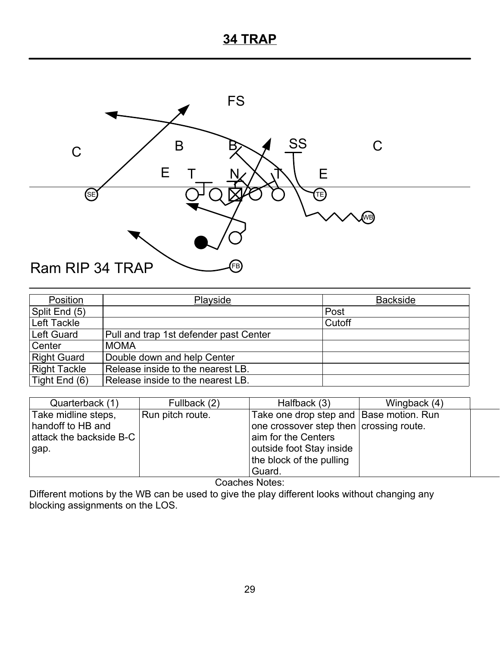#### **34 TRAP**



| Position            | Playside                               | <b>Backside</b> |
|---------------------|----------------------------------------|-----------------|
| Split End (5)       |                                        | Post            |
| Left Tackle         |                                        | Cutoff          |
| Left Guard          | Pull and trap 1st defender past Center |                 |
| Center              | <b>MOMA</b>                            |                 |
| <b>Right Guard</b>  | Double down and help Center            |                 |
| <b>Right Tackle</b> | Release inside to the nearest LB.      |                 |
| Tight End (6)       | Release inside to the nearest LB.      |                 |

| Quarterback (1)         | Fullback (2)     | Halfback (3)                            | Wingback (4) |  |
|-------------------------|------------------|-----------------------------------------|--------------|--|
| Take midline steps,     | Run pitch route. | Take one drop step and Base motion. Run |              |  |
| handoff to HB and       |                  | one crossover step then crossing route. |              |  |
| attack the backside B-C |                  | aim for the Centers                     |              |  |
| gap.                    |                  | outside foot Stay inside                |              |  |
|                         |                  | the block of the pulling                |              |  |
|                         |                  | Guard.                                  |              |  |

Coaches Notes:

Different motions by the WB can be used to give the play different looks without changing any blocking assignments on the LOS.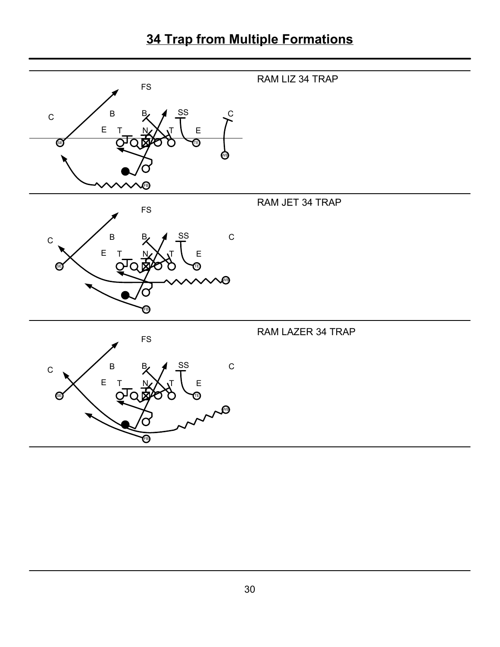# **34 Trap from Multiple Formations**

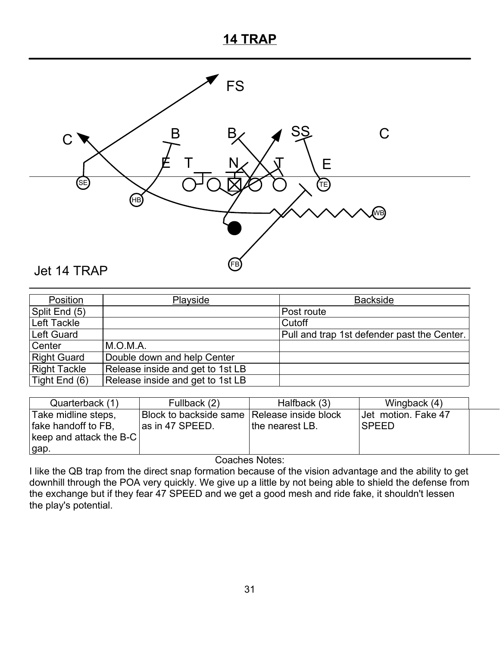#### **14 TRAP**



#### Position | Playside | Backside Split End (5) Post route Left Tackle Cutoff Cutoff Left Guard **Pull and trap 1st defender past the Center.** Center M.O.M.A.<br>Right Guard Double do Right Guard Double down and help Center<br>Right Tackle Release inside and get to 1st I Right Tackle Release inside and get to 1st LB<br>Tight End (6) Release inside and get to 1st LB Release inside and get to 1st LB

| Quarterback (1)         | Fullback (2)                                  | Halfback (3)    | Wingback (4)        |  |
|-------------------------|-----------------------------------------------|-----------------|---------------------|--|
| Take midline steps,     | Block to backside same   Release inside block |                 | Jet motion. Fake 47 |  |
| fake handoff to FB,     | as in 47 SPEED.                               | the nearest LB. | <b>SPEED</b>        |  |
| keep and attack the B-C |                                               |                 |                     |  |
| gap.                    |                                               |                 |                     |  |

Coaches Notes:

I like the QB trap from the direct snap formation because of the vision advantage and the ability to get downhill through the POA very quickly. We give up a little by not being able to shield the defense from the exchange but if they fear 47 SPEED and we get a good mesh and ride fake, it shouldn't lessen the play's potential.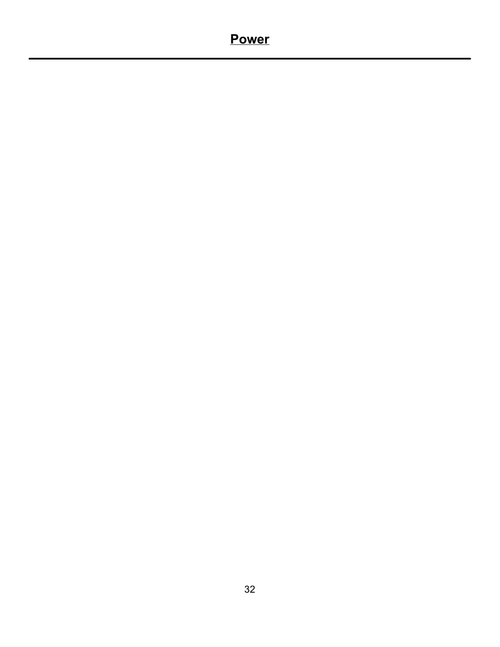### **Power**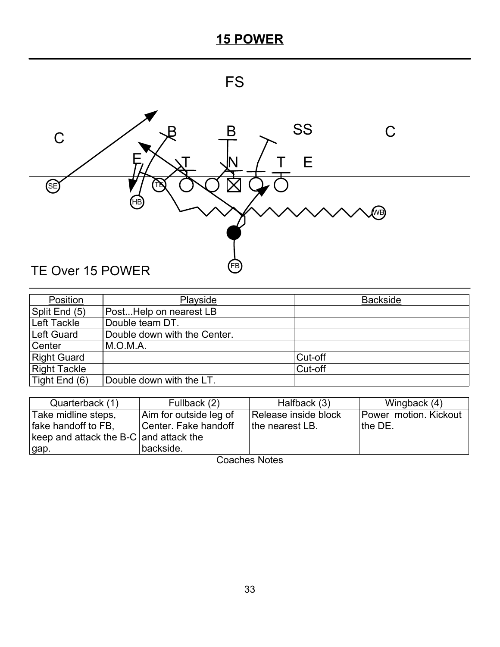



| Position            | Playside                     | <b>Backside</b> |
|---------------------|------------------------------|-----------------|
| Split End (5)       | PostHelp on nearest LB       |                 |
| Left Tackle         | Double team DT.              |                 |
| Left Guard          | Double down with the Center. |                 |
| Center              | M.O.M.A.                     |                 |
| <b>Right Guard</b>  |                              | Cut-off         |
| <b>Right Tackle</b> |                              | Cut-off         |
| Tight End (6)       | Double down with the LT.     |                 |

| Quarterback (1)                        | Fullback (2)           | Halfback (3)         | Wingback (4)          |
|----------------------------------------|------------------------|----------------------|-----------------------|
| Take midline steps,                    | Aim for outside leg of | Release inside block | Power motion. Kickout |
| fake handoff to FB,                    | Center. Fake handoff   | the nearest LB.      | the DE.               |
| keep and attack the B-C and attack the |                        |                      |                       |
| gap.                                   | backside.              |                      |                       |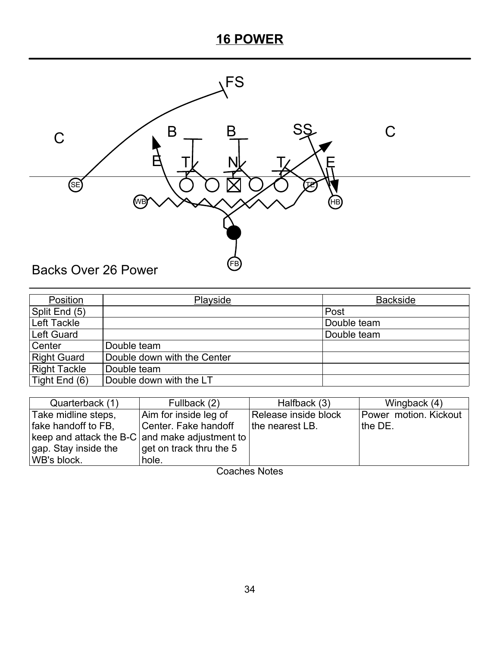

| Position            | Playside                    | <b>Backside</b> |
|---------------------|-----------------------------|-----------------|
| Split End (5)       |                             | Post            |
| Left Tackle         |                             | Double team     |
| Left Guard          |                             | Double team     |
| Center              | Double team                 |                 |
| <b>Right Guard</b>  | Double down with the Center |                 |
| <b>Right Tackle</b> | Double team                 |                 |
| Tight End (6)       | Double down with the LT     |                 |

| Quarterback (1)                                | Fullback (2)                       | Halfback (3)         | Wingback (4)          |
|------------------------------------------------|------------------------------------|----------------------|-----------------------|
| Take midline steps,                            | Aim for inside leg of              | Release inside block | Power motion. Kickout |
| fake handoff to FB,                            | Center. Fake handoff               | the nearest LB.      | the DE.               |
| keep and attack the B-C and make adjustment to |                                    |                      |                       |
| gap. Stay inside the                           | $\sqrt{q}$ get on track thru the 5 |                      |                       |
| WB's block.                                    | hole.                              |                      |                       |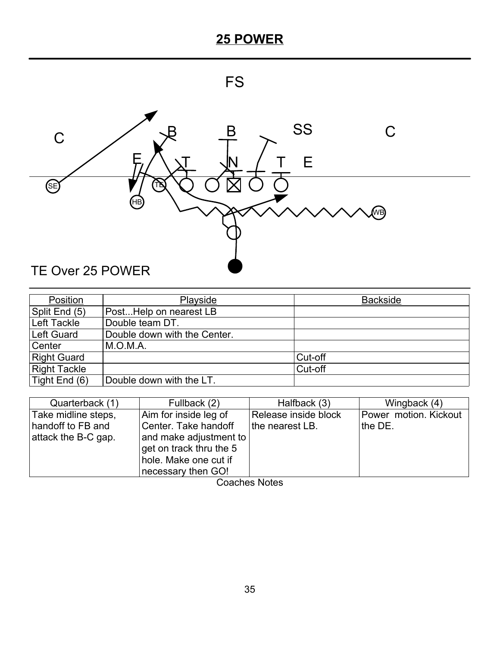



| Position            | Playside                     | <b>Backside</b> |
|---------------------|------------------------------|-----------------|
| Split End (5)       | PostHelp on nearest LB       |                 |
| Left Tackle         | Double team DT.              |                 |
| Left Guard          | Double down with the Center. |                 |
| Center              | M.O.M.A.                     |                 |
| <b>Right Guard</b>  |                              | Cut-off         |
| <b>Right Tackle</b> |                              | Cut-off         |
| Tight End (6)       | Double down with the LT.     |                 |

| Quarterback (1)     | Fullback (2)            | Halfback (3)         | Wingback (4)          |
|---------------------|-------------------------|----------------------|-----------------------|
| Take midline steps, | Aim for inside leg of   | Release inside block | Power motion. Kickout |
| handoff to FB and   | Center. Take handoff    | the nearest LB.      | the DE.               |
| attack the B-C gap. | and make adjustment to  |                      |                       |
|                     | get on track thru the 5 |                      |                       |
|                     | hole. Make one cut if   |                      |                       |
|                     | necessary then GO!      |                      |                       |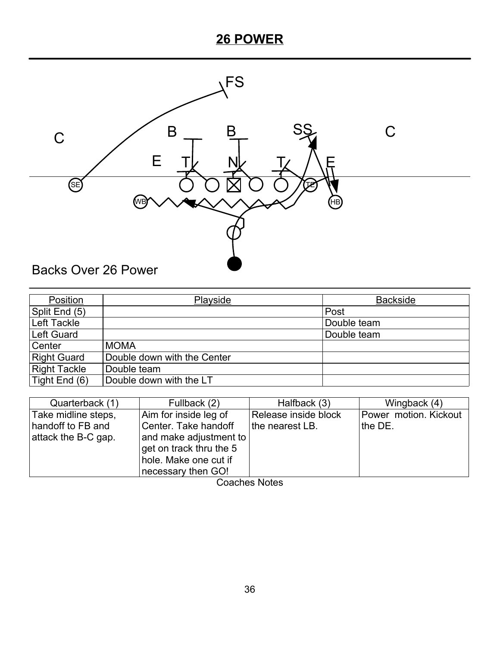

| Position            | Playside                    | <b>Backside</b> |
|---------------------|-----------------------------|-----------------|
| Split End (5)       |                             | Post            |
| Left Tackle         |                             | Double team     |
| Left Guard          |                             | Double team     |
| Center              | <b>MOMA</b>                 |                 |
| <b>Right Guard</b>  | Double down with the Center |                 |
| <b>Right Tackle</b> | Double team                 |                 |
| Tight End (6)       | Double down with the LT     |                 |

| Quarterback (1)     | Fullback (2)            | Halfback (3)         | Wingback (4)          |
|---------------------|-------------------------|----------------------|-----------------------|
| Take midline steps, | Aim for inside leg of   | Release inside block | Power motion. Kickout |
| handoff to FB and   | Center. Take handoff    | the nearest LB.      | the DE.               |
| attack the B-C gap. | and make adjustment to  |                      |                       |
|                     | get on track thru the 5 |                      |                       |
|                     | hole. Make one cut if   |                      |                       |
|                     | necessary then GO!      |                      |                       |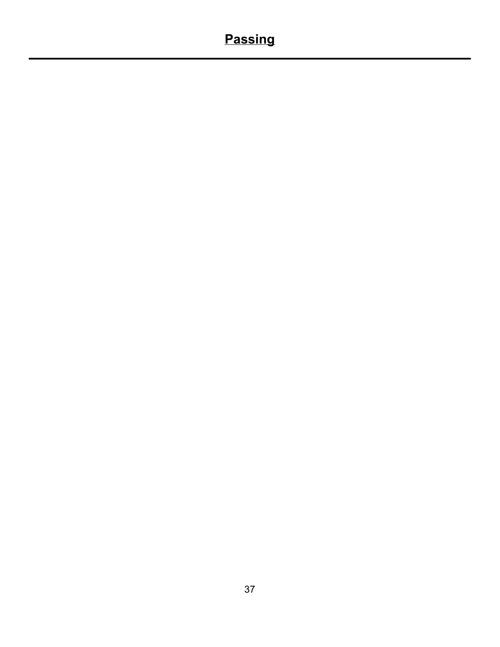# **Passing**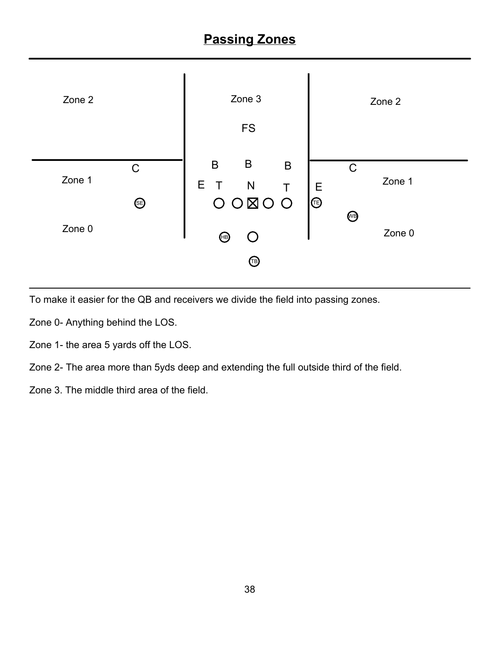

To make it easier for the QB and receivers we divide the field into passing zones.

Zone 0- Anything behind the LOS.

Zone 1- the area 5 yards off the LOS.

Zone 2- The area more than 5yds deep and extending the full outside third of the field.

Zone 3. The middle third area of the field.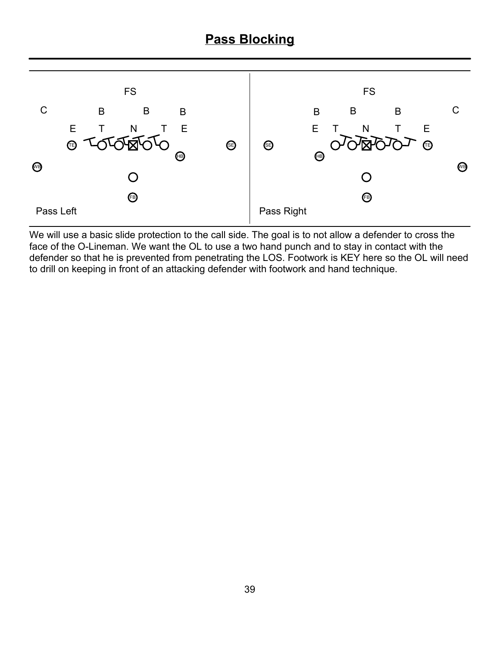#### **Pass Blocking**



We will use a basic slide protection to the call side. The goal is to not allow a defender to cross the face of the O-Lineman. We want the OL to use a two hand punch and to stay in contact with the defender so that he is prevented from penetrating the LOS. Footwork is KEY here so the OL will need to drill on keeping in front of an attacking defender with footwork and hand technique.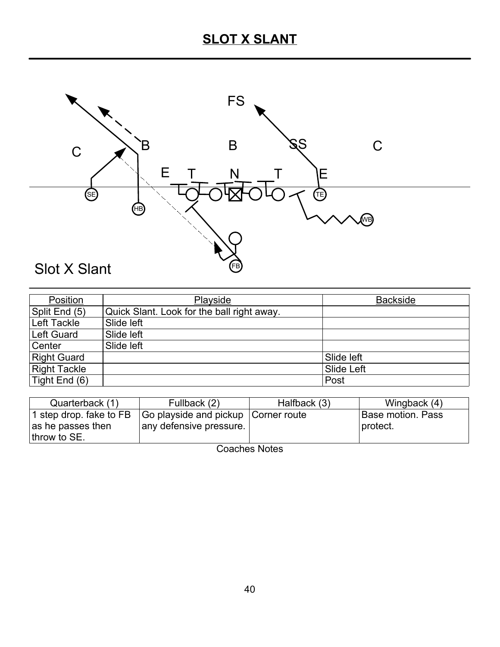

| Position            | Playside                                   | <b>Backside</b> |
|---------------------|--------------------------------------------|-----------------|
| Split End (5)       | Quick Slant. Look for the ball right away. |                 |
| Left Tackle         | Slide left                                 |                 |
| <b>Left Guard</b>   | Slide left                                 |                 |
| Center              | Slide left                                 |                 |
| <b>Right Guard</b>  |                                            | Slide left      |
| <b>Right Tackle</b> |                                            | Slide Left      |
| Tight End $(6)$     |                                            | Post            |

| Quarterback (1)         | Fullback (2)                        | Halfback (3) | Wingback (4)      |
|-------------------------|-------------------------------------|--------------|-------------------|
| 1 step drop. fake to FB | Go playside and pickup Corner route |              | Base motion. Pass |
| as he passes then       | any defensive pressure.             |              | protect.          |
| throw to SE.            |                                     |              |                   |
|                         |                                     |              |                   |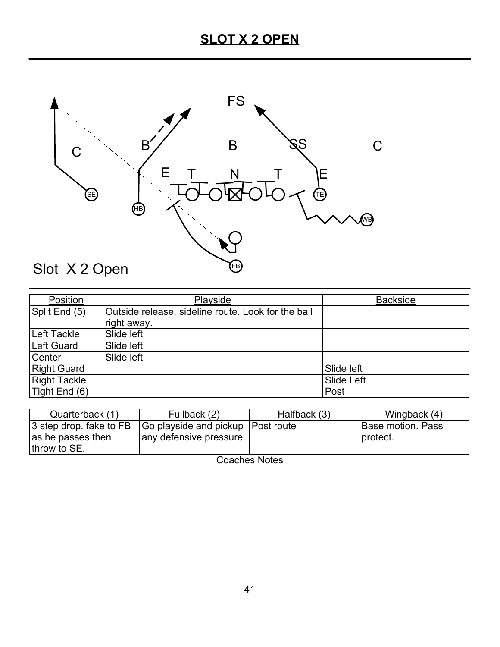

| Position            | Playside                                           | <b>Backside</b> |
|---------------------|----------------------------------------------------|-----------------|
| Split End (5)       | Outside release, sideline route. Look for the ball |                 |
|                     | right away.                                        |                 |
| Left Tackle         | Slide left                                         |                 |
| Left Guard          | Slide left                                         |                 |
| Center              | Slide left                                         |                 |
| <b>Right Guard</b>  |                                                    | Slide left      |
| <b>Right Tackle</b> |                                                    | Slide Left      |
| Tight End (6)       |                                                    | Post            |

| Quarterback (1)         | Fullback (2)                        | Halfback (3) | Wingback (4)      |
|-------------------------|-------------------------------------|--------------|-------------------|
| 3 step drop. fake to FB | Go playside and pickup   Post route |              | Base motion. Pass |
| as he passes then       | any defensive pressure.             |              | I protect.        |
| throw to SE.            |                                     |              |                   |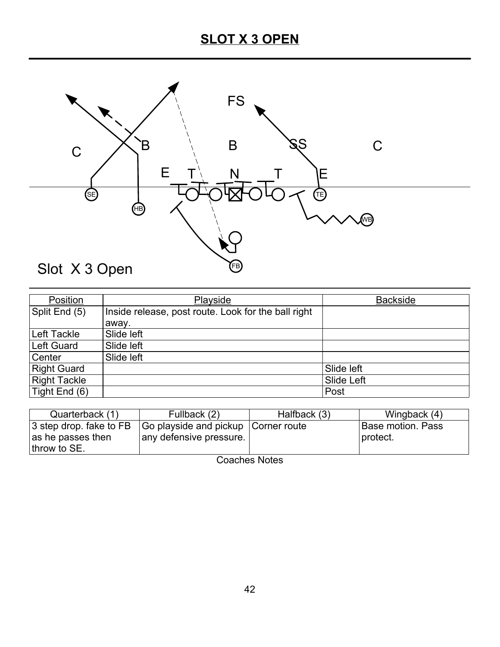

| Position            | Playside                                            | <b>Backside</b> |
|---------------------|-----------------------------------------------------|-----------------|
| Split End (5)       | Inside release, post route. Look for the ball right |                 |
|                     | away.                                               |                 |
| Left Tackle         | Slide left                                          |                 |
| Left Guard          | Slide left                                          |                 |
| Center              | Slide left                                          |                 |
| <b>Right Guard</b>  |                                                     | Slide left      |
| <b>Right Tackle</b> |                                                     | Slide Left      |
| Tight End (6)       |                                                     | Post            |

| Quarterback (1)         | Fullback (2)                          | Halfback (3) | Wingback (4)             |
|-------------------------|---------------------------------------|--------------|--------------------------|
| 3 step drop. fake to FB | Go playside and pickup   Corner route |              | <b>Base motion. Pass</b> |
| as he passes then       | any defensive pressure.               |              | protect.                 |
| throw to SE.            |                                       |              |                          |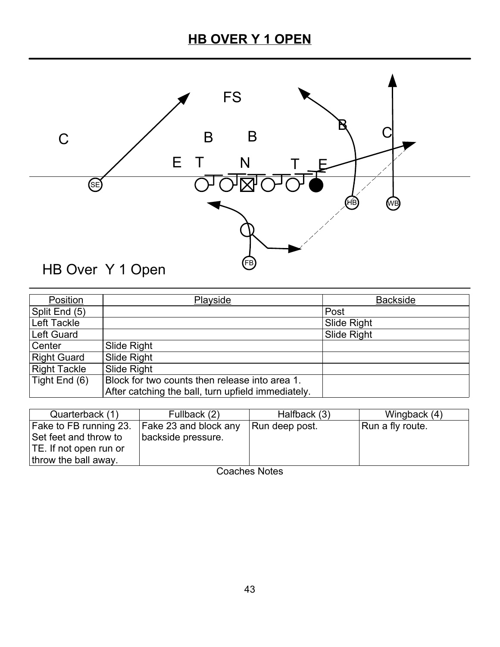# **HB OVER Y 1 OPEN**



| Position            | Playside                                           | <b>Backside</b>    |
|---------------------|----------------------------------------------------|--------------------|
| Split End (5)       |                                                    | Post               |
| Left Tackle         |                                                    | <b>Slide Right</b> |
| Left Guard          |                                                    | Slide Right        |
| Center              | Slide Right                                        |                    |
| <b>Right Guard</b>  | Slide Right                                        |                    |
| <b>Right Tackle</b> | Slide Right                                        |                    |
| Tight End (6)       | Block for two counts then release into area 1.     |                    |
|                     | After catching the ball, turn upfield immediately. |                    |

| Quarterback (1)        | Fullback (2)          | Halfback (3)   | Wingback (4)     |
|------------------------|-----------------------|----------------|------------------|
| Fake to FB running 23. | Fake 23 and block any | Run deep post. | Run a fly route. |
| Set feet and throw to  | backside pressure.    |                |                  |
| TE. If not open run or |                       |                |                  |
| throw the ball away.   |                       |                |                  |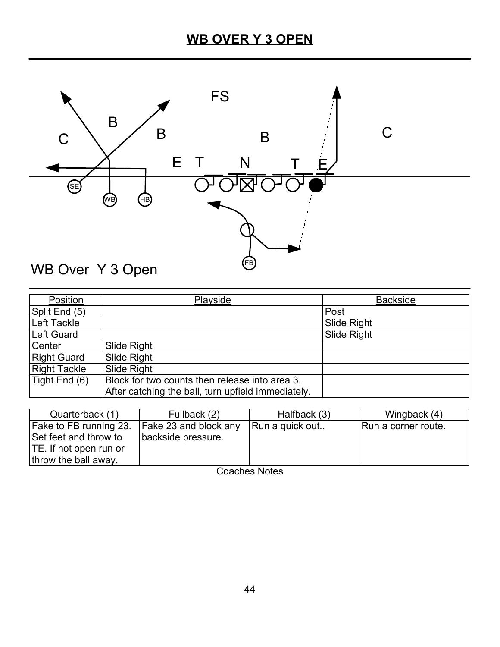

| Position            | Playside                                           | <b>Backside</b>    |
|---------------------|----------------------------------------------------|--------------------|
| Split End (5)       |                                                    | Post               |
| Left Tackle         |                                                    | Slide Right        |
| Left Guard          |                                                    | <b>Slide Right</b> |
| Center              | Slide Right                                        |                    |
| <b>Right Guard</b>  | Slide Right                                        |                    |
| <b>Right Tackle</b> | Slide Right                                        |                    |
| Tight End (6)       | Block for two counts then release into area 3.     |                    |
|                     | After catching the ball, turn upfield immediately. |                    |

| Quarterback (1)        | Fullback (2)          | Halfback (3)    | Wingback (4)        |
|------------------------|-----------------------|-----------------|---------------------|
| Fake to FB running 23. | Fake 23 and block any | Run a quick out | Run a corner route. |
| Set feet and throw to  | backside pressure.    |                 |                     |
| TE. If not open run or |                       |                 |                     |
| throw the ball away.   |                       |                 |                     |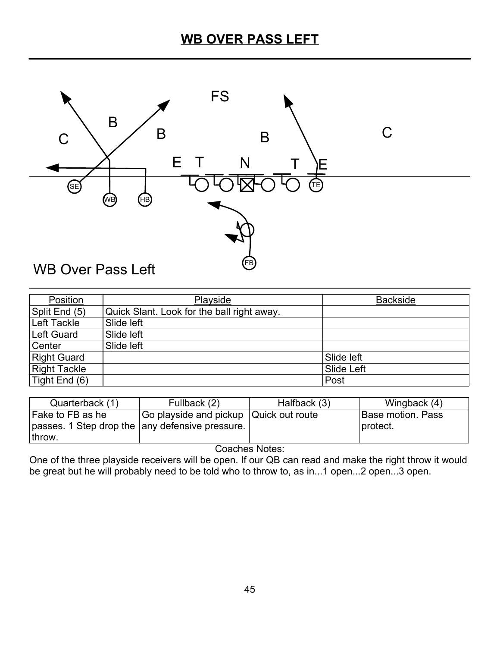

| Position            | Playside                                   | <b>Backside</b> |
|---------------------|--------------------------------------------|-----------------|
| Split End (5)       | Quick Slant. Look for the ball right away. |                 |
| Left Tackle         | Slide left                                 |                 |
| Left Guard          | Slide left                                 |                 |
| Center              | Slide left                                 |                 |
| <b>Right Guard</b>  |                                            | Slide left      |
| <b>Right Tackle</b> |                                            | Slide Left      |
| Tight End (6)       |                                            | Post            |

| Quarterback (1)                                 | Fullback (2)                           | Halfback (3) | Wingback (4)      |
|-------------------------------------------------|----------------------------------------|--------------|-------------------|
| Fake to FB as he                                | Go playside and pickup Quick out route |              | Base motion. Pass |
| passes. 1 Step drop the any defensive pressure. |                                        |              | I protect.        |
| throw.                                          |                                        |              |                   |

One of the three playside receivers will be open. If our QB can read and make the right throw it would be great but he will probably need to be told who to throw to, as in...1 open...2 open...3 open.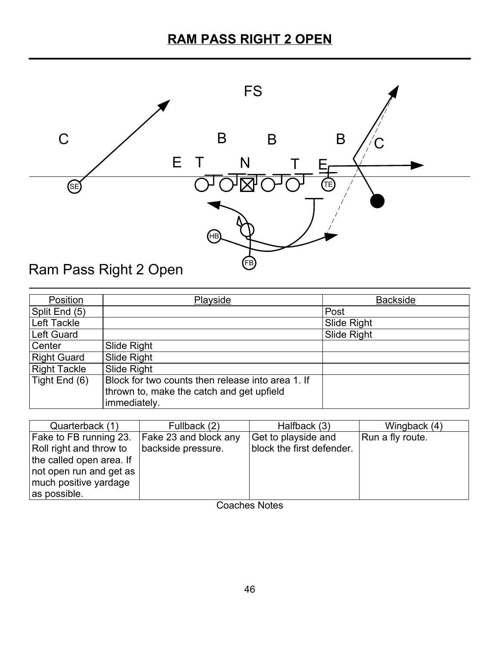

| Position            | Playside                                          | <b>Backside</b>    |
|---------------------|---------------------------------------------------|--------------------|
| Split End (5)       |                                                   | Post               |
| Left Tackle         |                                                   | <b>Slide Right</b> |
| <b>Left Guard</b>   |                                                   | Slide Right        |
| Center              | Slide Right                                       |                    |
| <b>Right Guard</b>  | Slide Right                                       |                    |
| <b>Right Tackle</b> | Slide Right                                       |                    |
| Tight End (6)       | Block for two counts then release into area 1. If |                    |
|                     | thrown to, make the catch and get upfield         |                    |
|                     | immediately.                                      |                    |

| Quarterback (1)          | Fullback (2)          | Halfback (3)              | Wingback (4)     |
|--------------------------|-----------------------|---------------------------|------------------|
| Fake to FB running 23.   | Fake 23 and block any | Get to playside and       | Run a fly route. |
| Roll right and throw to  | backside pressure.    | block the first defender. |                  |
| the called open area. If |                       |                           |                  |
| not open run and get as  |                       |                           |                  |
| much positive yardage    |                       |                           |                  |
| as possible.             | __                    | .                         |                  |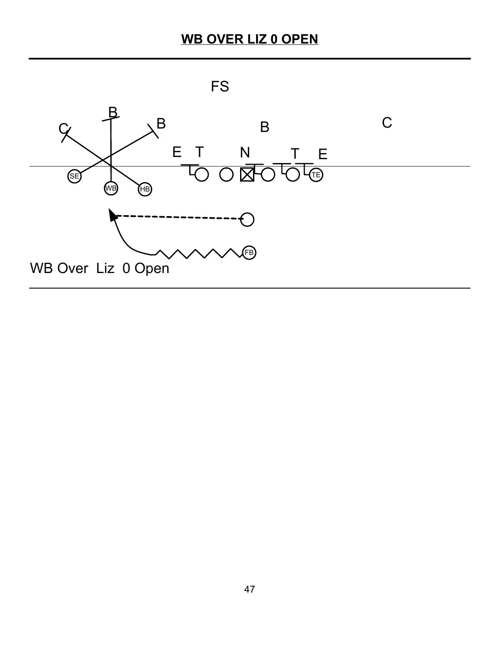# **WB OVER LIZ 0 OPEN**

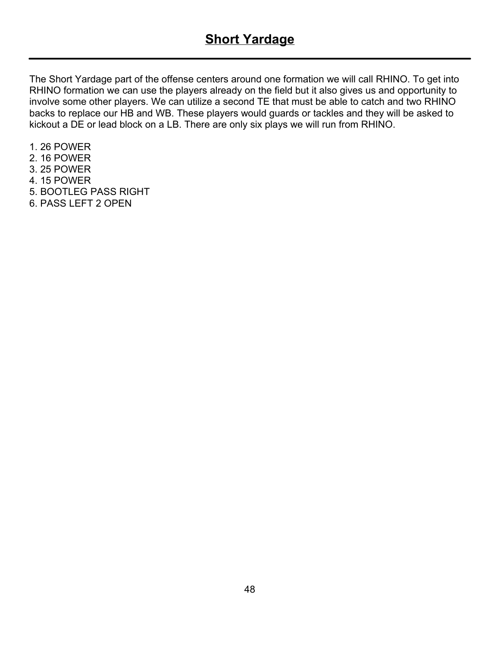The Short Yardage part of the offense centers around one formation we will call RHINO. To get into RHINO formation we can use the players already on the field but it also gives us and opportunity to involve some other players. We can utilize a second TE that must be able to catch and two RHINO backs to replace our HB and WB. These players would guards or tackles and they will be asked to kickout a DE or lead block on a LB. There are only six plays we will run from RHINO.

- 1. 26 POWER
- 2. 16 POWER
- 3. 25 POWER
- 4. 15 POWER
- 5. BOOTLEG PASS RIGHT
- 6. PASS LEFT 2 OPEN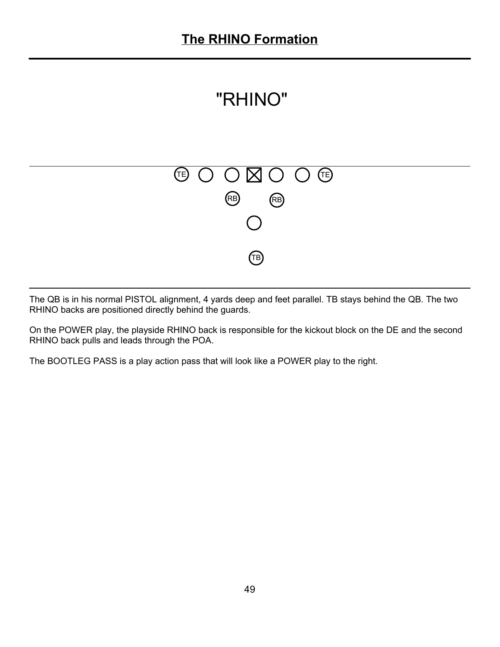



The QB is in his normal PISTOL alignment, 4 yards deep and feet parallel. TB stays behind the QB. The two RHINO backs are positioned directly behind the guards.

On the POWER play, the playside RHINO back is responsible for the kickout block on the DE and the second RHINO back pulls and leads through the POA.

The BOOTLEG PASS is a play action pass that will look like a POWER play to the right.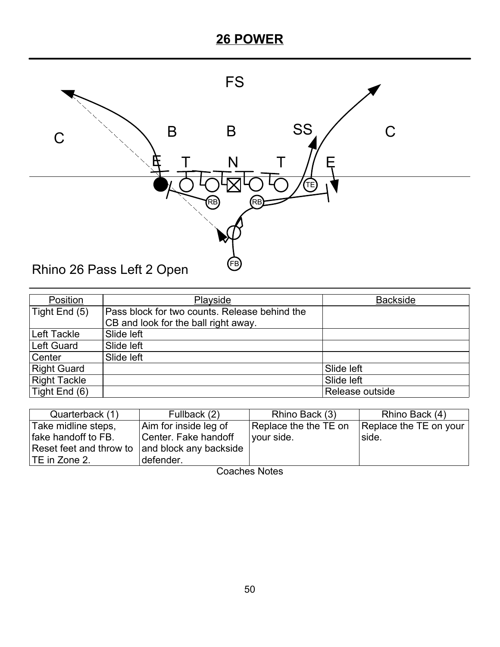

| Position            | Playside                                      | <b>Backside</b> |
|---------------------|-----------------------------------------------|-----------------|
| Tight End (5)       | Pass block for two counts. Release behind the |                 |
|                     | CB and look for the ball right away.          |                 |
| Left Tackle         | Slide left                                    |                 |
| Left Guard          | Slide left                                    |                 |
| Center              | Slide left                                    |                 |
| <b>Right Guard</b>  |                                               | Slide left      |
| <b>Right Tackle</b> |                                               | Slide left      |
| Tight End (6)       |                                               | Release outside |

| Quarterback (1)         | Fullback (2)           | Rhino Back (3)        | Rhino Back (4)         |
|-------------------------|------------------------|-----------------------|------------------------|
| Take midline steps,     | Aim for inside leg of  | Replace the the TE on | Replace the TE on your |
| fake handoff to FB.     | Center. Fake handoff   | vour side.            | side.                  |
| Reset feet and throw to | and block any backside |                       |                        |
| TE in Zone 2.           | defender.              |                       |                        |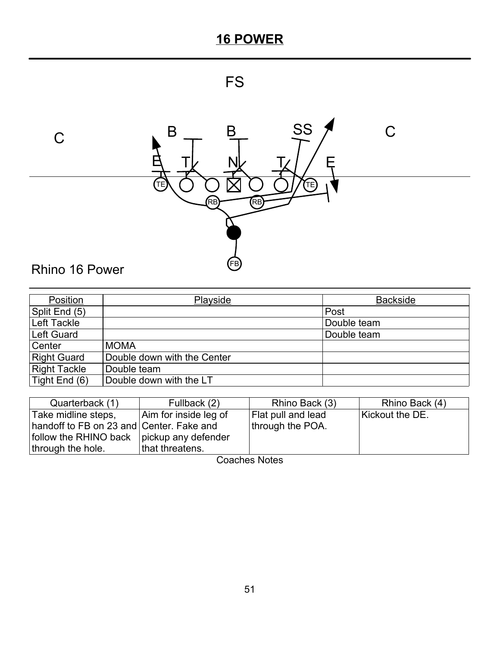



| Position            | Playside                    | <b>Backside</b> |
|---------------------|-----------------------------|-----------------|
| Split End (5)       |                             | Post            |
| Left Tackle         |                             | Double team     |
| Left Guard          |                             | Double team     |
| Center              | <b>MOMA</b>                 |                 |
| <b>Right Guard</b>  | Double down with the Center |                 |
| <b>Right Tackle</b> | Double team                 |                 |
| Tight End (6)       | Double down with the LT     |                 |

| Quarterback (1)                             | Fullback (2)          | Rhino Back (3)            | Rhino Back (4)  |
|---------------------------------------------|-----------------------|---------------------------|-----------------|
| Take midline steps,                         | Aim for inside leg of | <b>Flat pull and lead</b> | Kickout the DE. |
| handoff to FB on 23 and Center. Fake and    |                       | through the POA.          |                 |
| follow the RHINO back   pickup any defender |                       |                           |                 |
| through the hole.                           | that threatens.       |                           |                 |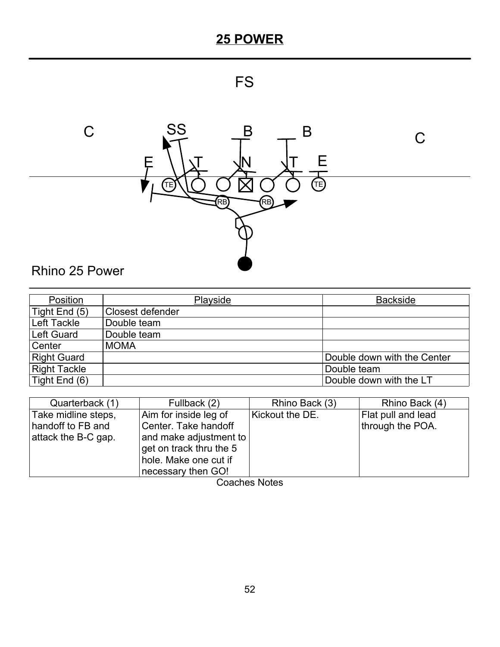# FS



| Position            | Playside                | <b>Backside</b>             |
|---------------------|-------------------------|-----------------------------|
| Tight End (5)       | <b>Closest defender</b> |                             |
| Left Tackle         | Double team             |                             |
| <b>Left Guard</b>   | Double team             |                             |
| Center              | <b>MOMA</b>             |                             |
| <b>Right Guard</b>  |                         | Double down with the Center |
| <b>Right Tackle</b> |                         | Double team                 |
| Tight End (6)       |                         | Double down with the LT     |

| Quarterback (1)                                                 | Fullback (2)                                                                                                                                      | Rhino Back (3)  | Rhino Back (4)                         |
|-----------------------------------------------------------------|---------------------------------------------------------------------------------------------------------------------------------------------------|-----------------|----------------------------------------|
| Take midline steps,<br>handoff to FB and<br>attack the B-C gap. | Aim for inside leg of<br>Center. Take handoff<br>and make adjustment to<br>get on track thru the 5<br>hole. Make one cut if<br>necessary then GO! | Kickout the DE. | Flat pull and lead<br>through the POA. |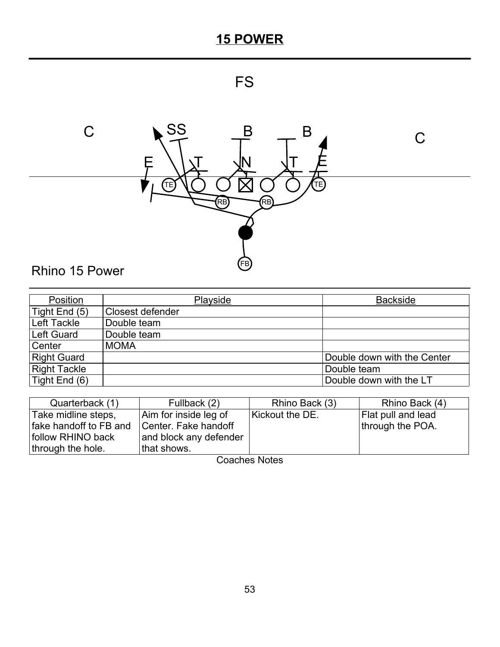# FS



| Position            | Playside         | <b>Backside</b>             |
|---------------------|------------------|-----------------------------|
| Tight End (5)       | Closest defender |                             |
| Left Tackle         | Double team      |                             |
| Left Guard          | Double team      |                             |
| Center              | <b>MOMA</b>      |                             |
| <b>Right Guard</b>  |                  | Double down with the Center |
| <b>Right Tackle</b> |                  | Double team                 |
| Tight End (6)       |                  | Double down with the LT     |

| Quarterback (1)        | Fullback (2)           | Rhino Back (3)  | Rhino Back (4)     |
|------------------------|------------------------|-----------------|--------------------|
| Take midline steps,    | Aim for inside leg of  | Kickout the DE. | Flat pull and lead |
| fake handoff to FB and | Center. Fake handoff   |                 | through the POA.   |
| follow RHINO back      | and block any defender |                 |                    |
| through the hole.      | that shows.            |                 |                    |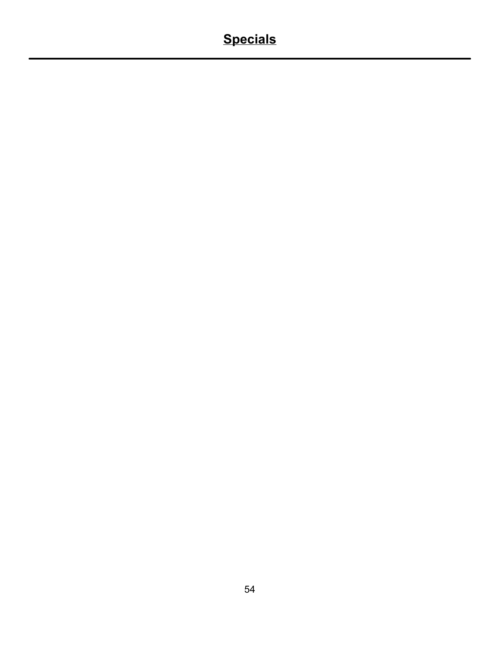# **Specials**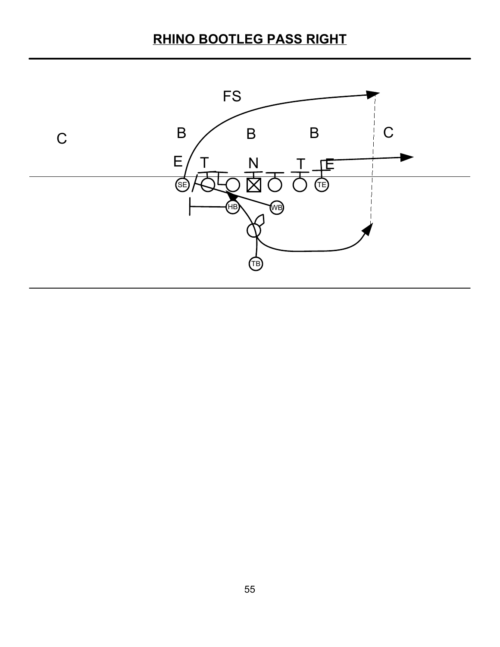# **RHINO BOOTLEG PASS RIGHT**